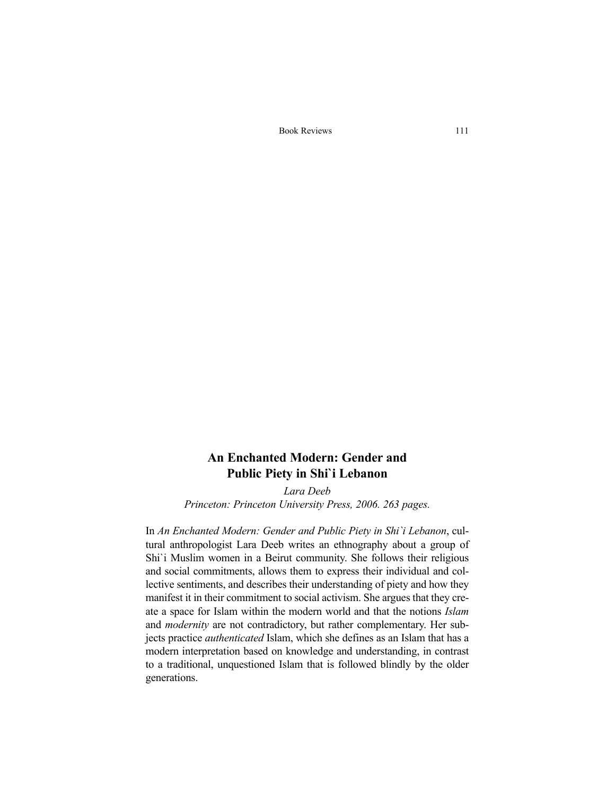Book Reviews 111

## **An Enchanted Modern: Gender and Public Piety in Shi`i Lebanon**

*Lara Deeb Princeton: Princeton University Press, 2006. 263 pages.*

In *An Enchanted Modern: Gender and Public Piety in Shi`i Lebanon*, cultural anthropologist Lara Deeb writes an ethnography about a group of Shi`i Muslim women in a Beirut community. She follows their religious and social commitments, allows them to express their individual and collective sentiments, and describes their understanding of piety and how they manifest it in their commitment to social activism. She argues that they create a space for Islam within the modern world and that the notions *Islam* and *modernity* are not contradictory, but rather complementary. Her subjects practice *authenticated* Islam, which she defines as an Islam that has a modern interpretation based on knowledge and understanding, in contrast to a traditional, unquestioned Islam that is followed blindly by the older generations.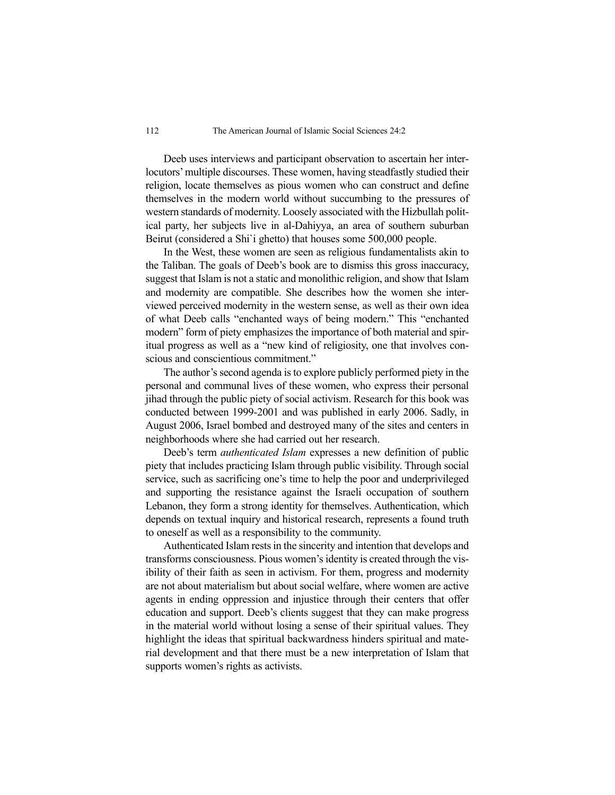Deeb uses interviews and participant observation to ascertain her interlocutors' multiple discourses. These women, having steadfastly studied their religion, locate themselves as pious women who can construct and define themselves in the modern world without succumbing to the pressures of western standards of modernity. Loosely associated with the Hizbullah political party, her subjects live in al-Dahiyya, an area of southern suburban Beirut (considered a Shi`i ghetto) that houses some 500,000 people.

In the West, these women are seen as religious fundamentalists akin to the Taliban. The goals of Deeb's book are to dismiss this gross inaccuracy, suggest that Islam is not a static and monolithic religion, and show that Islam and modernity are compatible. She describes how the women she interviewed perceived modernity in the western sense, as well as their own idea of what Deeb calls "enchanted ways of being modern." This "enchanted modern" form of piety emphasizes the importance of both material and spiritual progress as well as a "new kind of religiosity, one that involves conscious and conscientious commitment."

The author's second agenda is to explore publicly performed piety in the personal and communal lives of these women, who express their personal jihad through the public piety of social activism. Research for this book was conducted between 1999-2001 and was published in early 2006. Sadly, in August 2006, Israel bombed and destroyed many of the sites and centers in neighborhoods where she had carried out her research.

Deeb's term *authenticated Islam* expresses a new definition of public piety that includes practicing Islam through public visibility. Through social service, such as sacrificing one's time to help the poor and underprivileged and supporting the resistance against the Israeli occupation of southern Lebanon, they form a strong identity for themselves. Authentication, which depends on textual inquiry and historical research, represents a found truth to oneself as well as a responsibility to the community.

Authenticated Islam rests in the sincerity and intention that develops and transforms consciousness. Pious women's identity is created through the visibility of their faith as seen in activism. For them, progress and modernity are not about materialism but about social welfare, where women are active agents in ending oppression and injustice through their centers that offer education and support. Deeb's clients suggest that they can make progress in the material world without losing a sense of their spiritual values. They highlight the ideas that spiritual backwardness hinders spiritual and material development and that there must be a new interpretation of Islam that supports women's rights as activists.